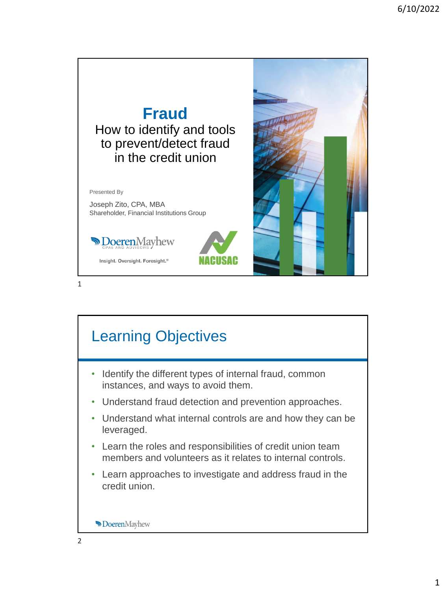

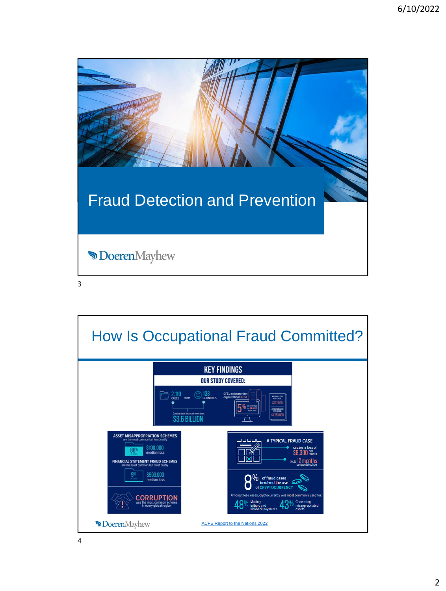| <b>Fraud Detection and Prevention</b> |  |
|---------------------------------------|--|
| <b>DoerenMayhew</b>                   |  |
| 3                                     |  |

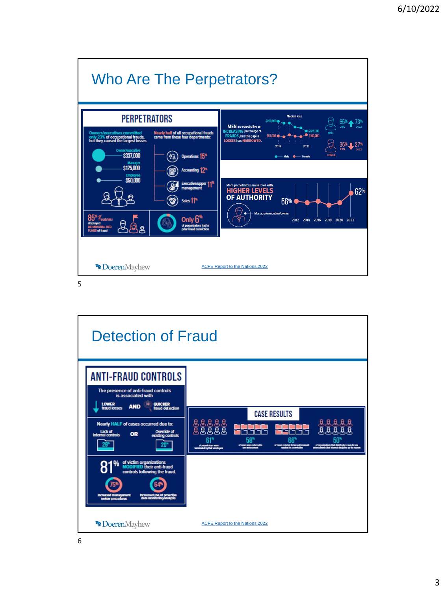

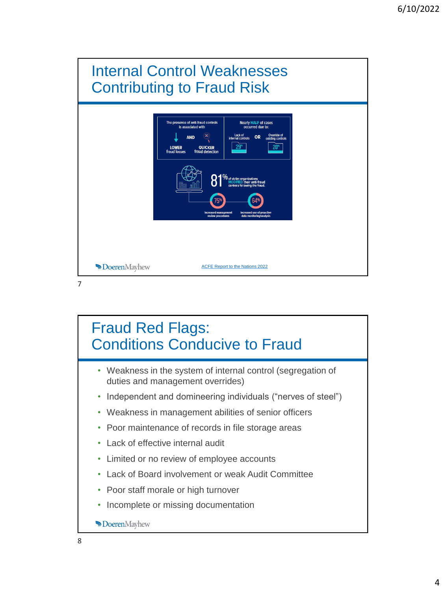

# Fraud Red Flags: Conditions Conducive to Fraud

- Weakness in the system of internal control (segregation of duties and management overrides)
- Independent and domineering individuals ("nerves of steel")
- Weakness in management abilities of senior officers
- Poor maintenance of records in file storage areas
- Lack of effective internal audit
- Limited or no review of employee accounts
- Lack of Board involvement or weak Audit Committee
- Poor staff morale or high turnover
- Incomplete or missing documentation

**Doeren**Mayhew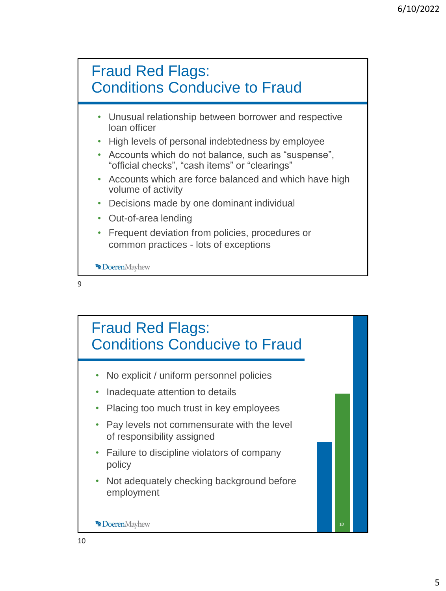

- Unusual relationship between borrower and respective loan officer
- High levels of personal indebtedness by employee
- Accounts which do not balance, such as "suspense", "official checks", "cash items" or "clearings"
- Accounts which are force balanced and which have high volume of activity
- Decisions made by one dominant individual
- Out-of-area lending
- Frequent deviation from policies, procedures or common practices - lots of exceptions

**Doeren**Mayhew

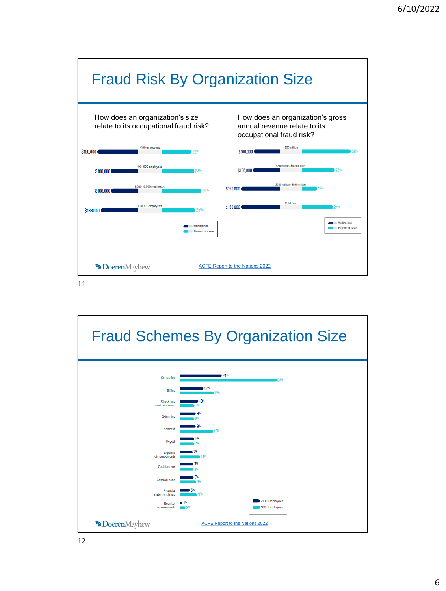

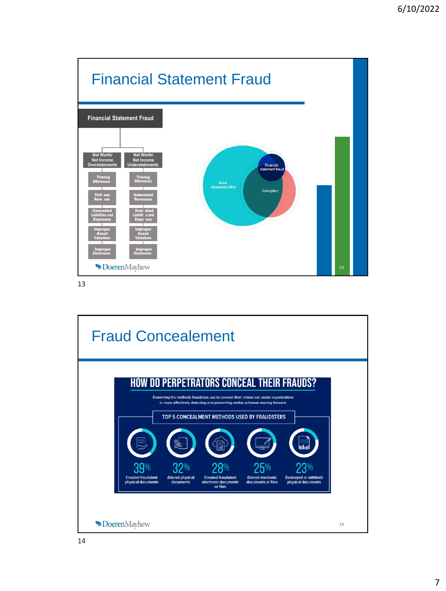

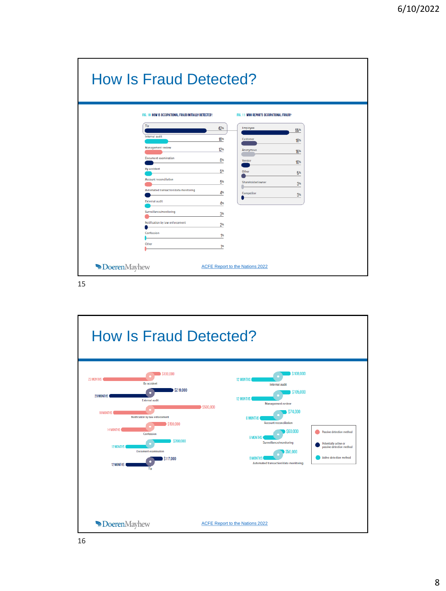| <b>How Is Fraud Detected?</b> |                                                       |     |                                         |                 |  |  |  |
|-------------------------------|-------------------------------------------------------|-----|-----------------------------------------|-----------------|--|--|--|
|                               | FIG. 10 HOW IS OCCUPATIONAL FRAUD INITIALLY DETECTED? |     | FIG. 11 WHO REPORTS OCCUPATIONAL FRAUD? |                 |  |  |  |
|                               | Tip                                                   | 42% | Employee                                | 55%             |  |  |  |
|                               | <b>Internal audit</b>                                 | 16% | Customer                                | 18%             |  |  |  |
|                               | Management review                                     | 12% | Anonymous                               | 16%             |  |  |  |
|                               | <b>Document</b> examination                           | 6%  | Vendor                                  | 10%             |  |  |  |
|                               | By accident                                           | 5%  | Other                                   | 5%              |  |  |  |
|                               | <b>Account reconciliation</b>                         | 5%  | Shareholder/owner                       | 3 <sup>th</sup> |  |  |  |
|                               | Automated transaction/data monitoring                 | 4%  | Competitor                              | 3 <sup>th</sup> |  |  |  |
|                               | <b>External audit</b>                                 | 4%  |                                         |                 |  |  |  |
|                               | Surveillance/monitoring                               | 3%  |                                         |                 |  |  |  |
|                               | Notification by law enforcement                       | 2%  |                                         |                 |  |  |  |
|                               | Confession                                            | 1%  |                                         |                 |  |  |  |
|                               | Other                                                 | 1%  |                                         |                 |  |  |  |
| <b>Doeren</b> Mayhew          |                                                       |     | ACFE Report to the Nations 2022         |                 |  |  |  |

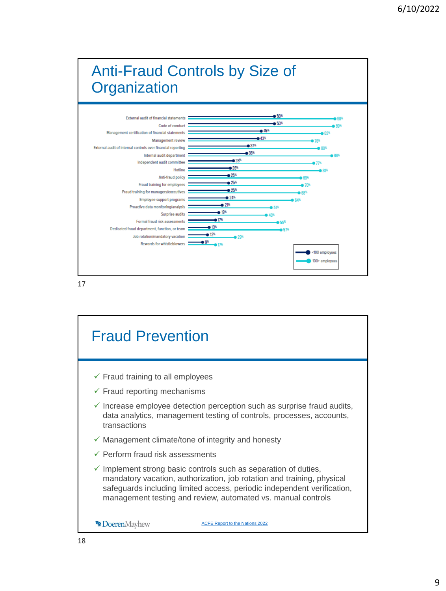

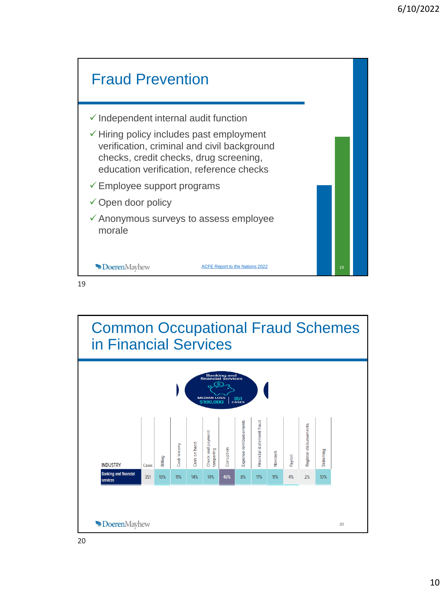

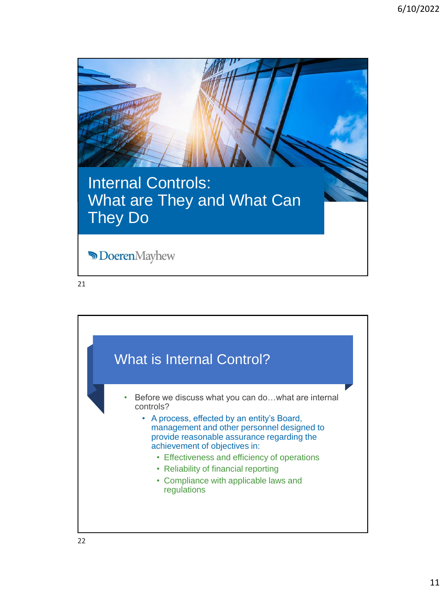

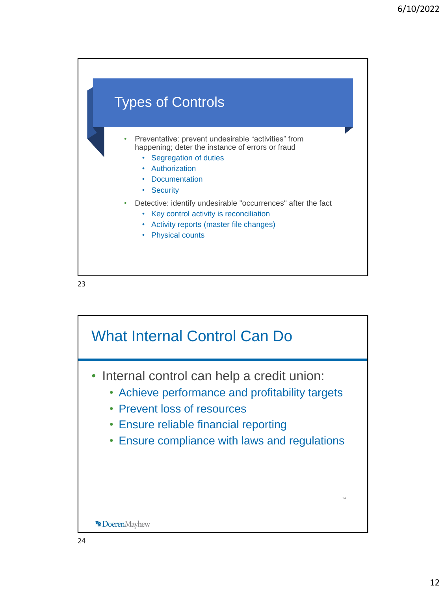

What Internal Control Can Do • Internal control can help a credit union: • Achieve performance and profitability targets • Prevent loss of resources • Ensure reliable financial reporting • Ensure compliance with laws and regulations 24 **Doeren**Mayhew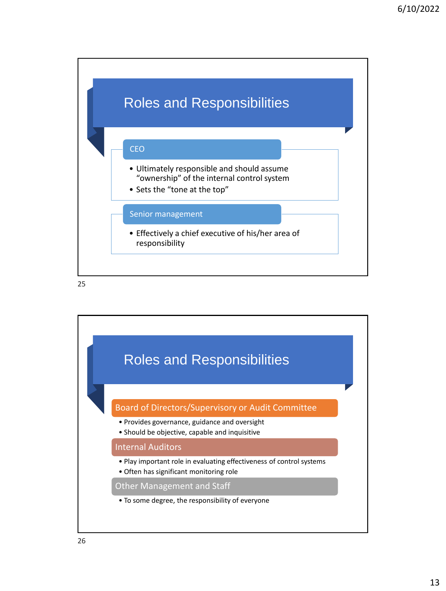

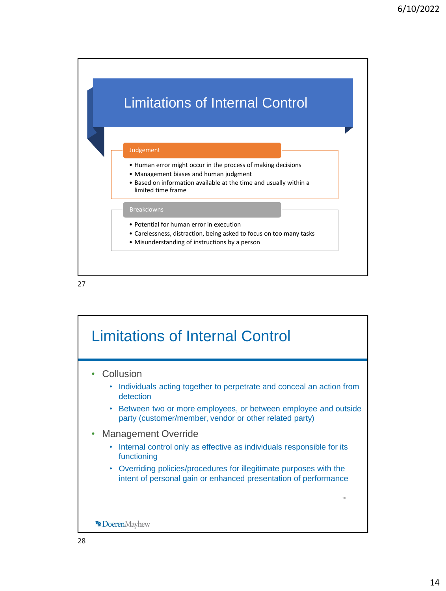

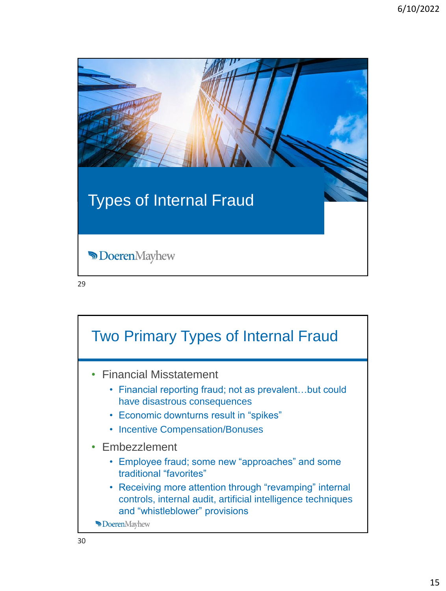| <b>Types of Internal Fraud</b> |  |
|--------------------------------|--|
| <b>DoerenMayhew</b>            |  |
| 29                             |  |

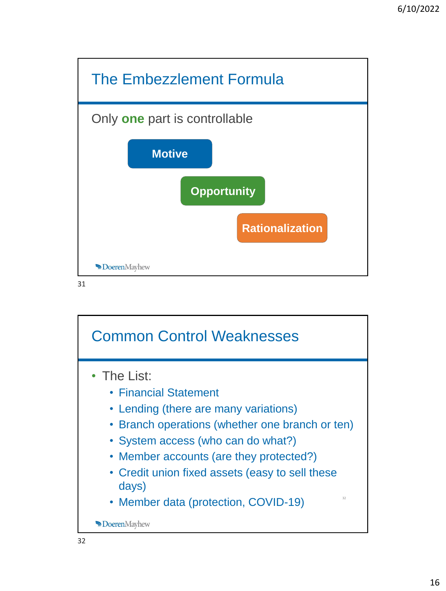

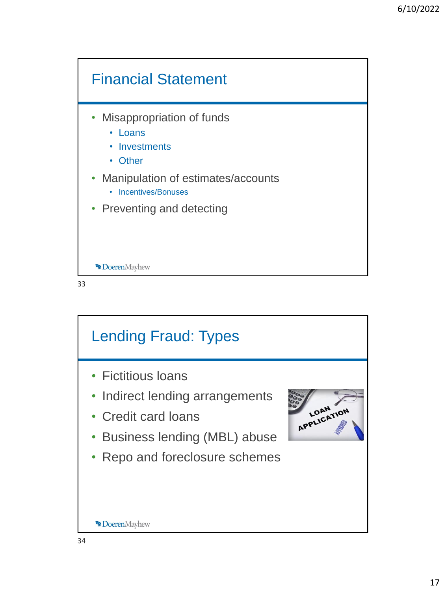

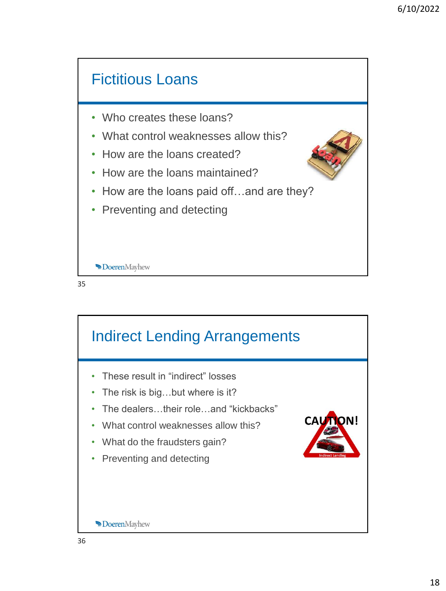

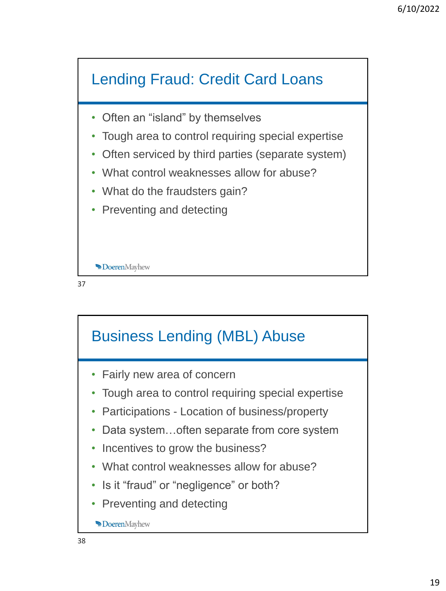

- Often an "island" by themselves
- Tough area to control requiring special expertise
- Often serviced by third parties (separate system)
- What control weaknesses allow for abuse?
- What do the fraudsters gain?
- Preventing and detecting



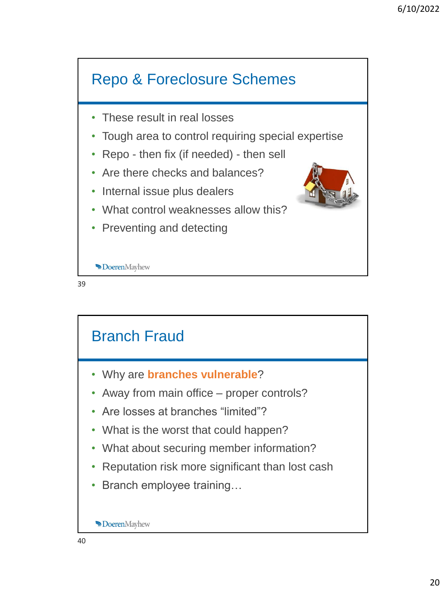

![](_page_19_Figure_2.jpeg)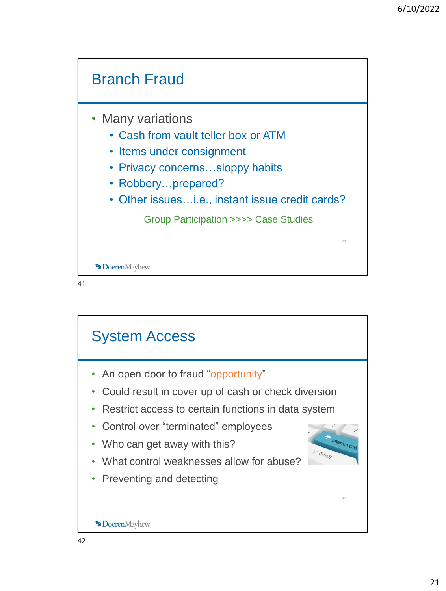![](_page_20_Figure_1.jpeg)

![](_page_20_Figure_2.jpeg)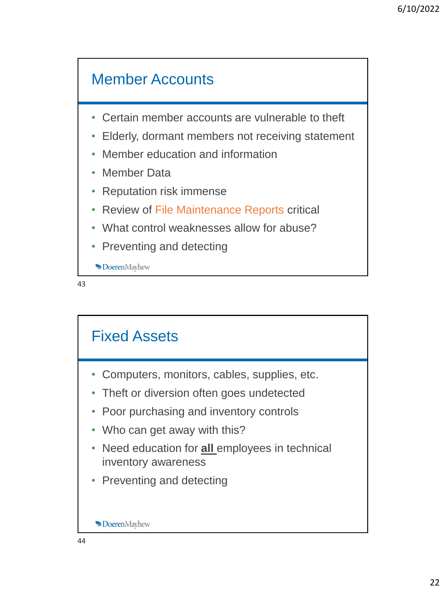# Member Accounts

- Certain member accounts are vulnerable to theft
- Elderly, dormant members not receiving statement
- Member education and information
- Member Data
- Reputation risk immense
- Review of File Maintenance Reports critical
- What control weaknesses allow for abuse?
- Preventing and detecting

**Doeren**Mayhew

![](_page_21_Figure_12.jpeg)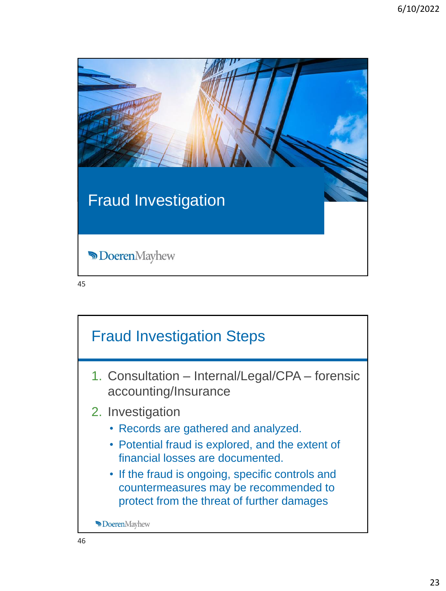| <b>Fraud Investigation</b> |  |
|----------------------------|--|
| <b>DoerenMayhew</b>        |  |
| 45                         |  |

![](_page_22_Figure_2.jpeg)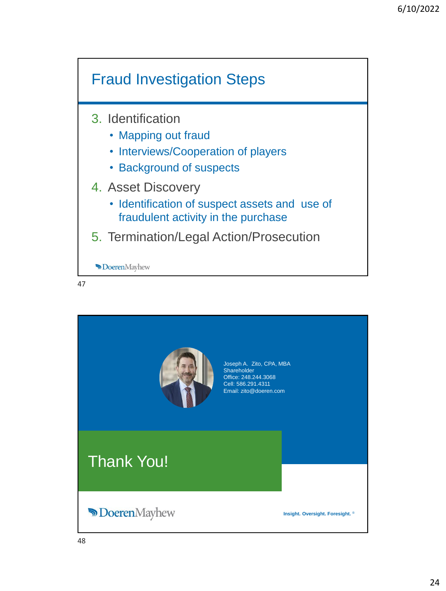![](_page_23_Figure_1.jpeg)

![](_page_23_Picture_2.jpeg)